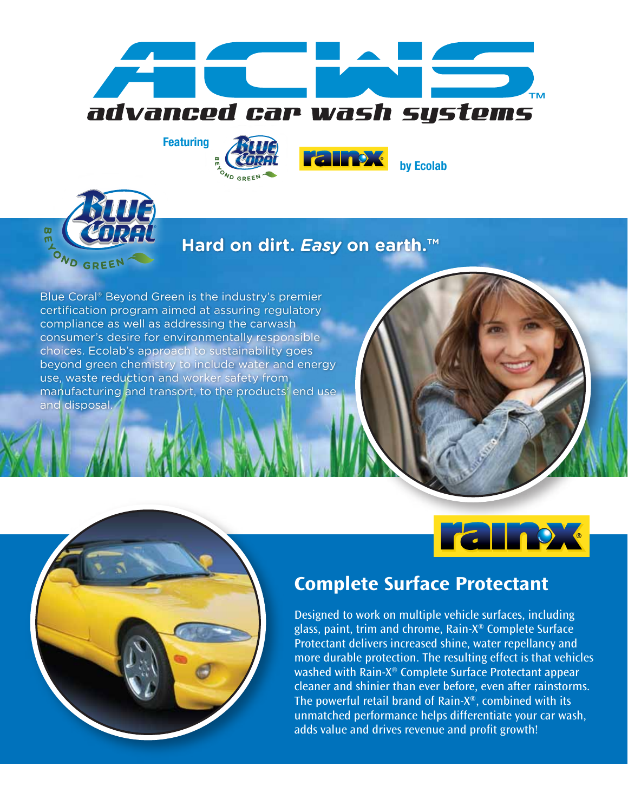







## **Hard on dirt.** *Easy* **on earth.™**

 $\sim$ 

Blue Coral® Beyond Green is the industry's premier certification program aimed at assuring regulatory compliance as well as addressing the carwash consumer's desire for environmentally responsible choices. Ecolab's approach to sustainability goes beyond green chemistry to include water and energy use, waste reduction and worker safety from manufacturing and transort, to the products' end use and disposal.





# Complete Surface Protectant

Designed to work on multiple vehicle surfaces, including glass, paint, trim and chrome, Rain-X® Complete Surface Protectant delivers increased shine, water repellancy and more durable protection. The resulting effect is that vehicles washed with Rain-X® Complete Surface Protectant appear cleaner and shinier than ever before, even after rainstorms. The powerful retail brand of Rain-X®, combined with its unmatched performance helps differentiate your car wash, adds value and drives revenue and profit growth!